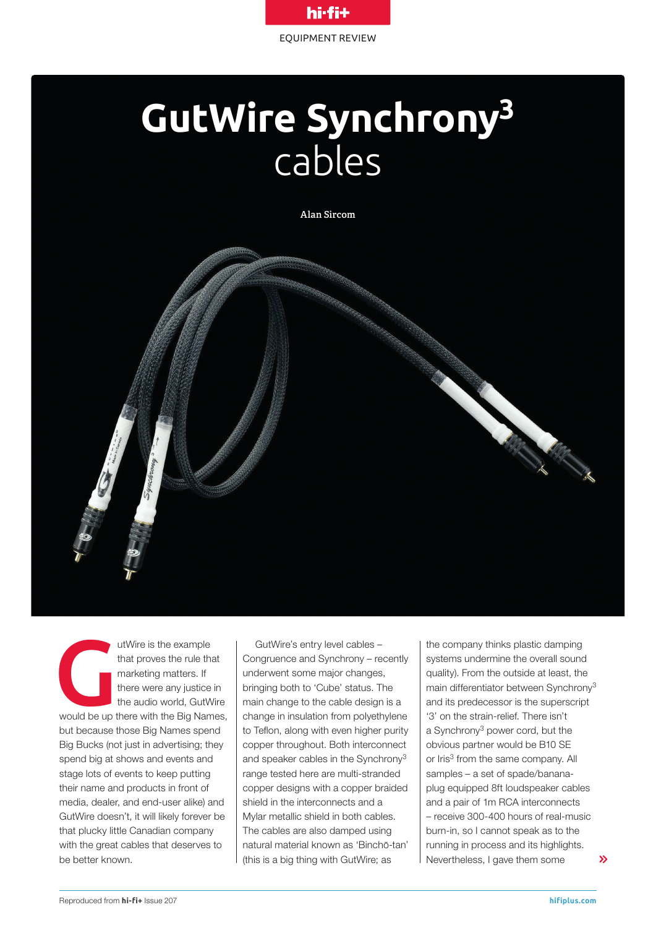

# **GutWire Synchrony3** cables

**Alan Sircom**



utWire is the example<br>
that proves the rule that<br>
marketing matters. If<br>
there were any justice in<br>
the audio world, GutWire<br>
would be up there with the Big Names, that proves the rule that marketing matters. If there were any justice in the audio world, GutWire but because those Big Names spend Big Bucks (not just in advertising; they spend big at shows and events and stage lots of events to keep putting their name and products in front of media, dealer, and end-user alike) and GutWire doesn't, it will likely forever be that plucky little Canadian company with the great cables that deserves to be better known.

GutWire's entry level cables – Congruence and Synchrony – recently underwent some major changes, bringing both to 'Cube' status. The main change to the cable design is a change in insulation from polyethylene to Teflon, along with even higher purity copper throughout. Both interconnect and speaker cables in the Synchrony<sup>3</sup> range tested here are multi-stranded copper designs with a copper braided shield in the interconnects and a Mylar metallic shield in both cables. The cables are also damped using natural material known as 'Binchō-tan' (this is a big thing with GutWire; as

the company thinks plastic damping systems undermine the overall sound quality). From the outside at least, the main differentiator between Synchrony3 and its predecessor is the superscript '3' on the strain-relief. There isn't a Synchrony3 power cord, but the obvious partner would be B10 SE or Iris<sup>3</sup> from the same company. All samples – a set of spade/bananaplug equipped 8ft loudspeaker cables and a pair of 1m RCA interconnects – receive 300-400 hours of real-music burn-in, so I cannot speak as to the running in process and its highlights. Nevertheless, I gave them some  $\mathbf{\Sigma}$